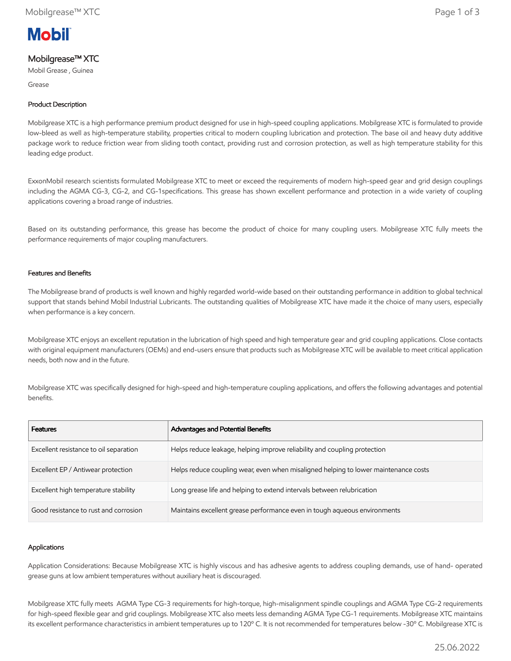

# Mobilgrease™ XTC

Mobil Grease , Guinea

Grease

## Product Description

Mobilgrease XTC is a high performance premium product designed for use in high-speed coupling applications. Mobilgrease XTC is formulated to provide low-bleed as well as high-temperature stability, properties critical to modern coupling lubrication and protection. The base oil and heavy duty additive package work to reduce friction wear from sliding tooth contact, providing rust and corrosion protection, as well as high temperature stability for this leading edge product.

ExxonMobil research scientists formulated Mobilgrease XTC to meet or exceed the requirements of modern high-speed gear and grid design couplings including the AGMA CG-3, CG-2, and CG-1specifications. This grease has shown excellent performance and protection in a wide variety of coupling applications covering a broad range of industries.

Based on its outstanding performance, this grease has become the product of choice for many coupling users. Mobilgrease XTC fully meets the performance requirements of major coupling manufacturers.

## Features and Benefits

The Mobilgrease brand of products is well known and highly regarded world-wide based on their outstanding performance in addition to global technical support that stands behind Mobil Industrial Lubricants. The outstanding qualities of Mobilgrease XTC have made it the choice of many users, especially when performance is a key concern.

Mobilgrease XTC enjoys an excellent reputation in the lubrication of high speed and high temperature gear and grid coupling applications. Close contacts with original equipment manufacturers (OEMs) and end-users ensure that products such as Mobilgrease XTC will be available to meet critical application needs, both now and in the future.

Mobilgrease XTC was specifically designed for high-speed and high-temperature coupling applications, and offers the following advantages and potential benefits.

| <b>Features</b>                        | Advantages and Potential Benefits                                                   |
|----------------------------------------|-------------------------------------------------------------------------------------|
| Excellent resistance to oil separation | Helps reduce leakage, helping improve reliability and coupling protection           |
| Excellent EP / Antiwear protection     | Helps reduce coupling wear, even when misaligned helping to lower maintenance costs |
| Excellent high temperature stability   | Long grease life and helping to extend intervals between relubrication              |
| Good resistance to rust and corrosion  | Maintains excellent grease performance even in tough aqueous environments           |

## Applications

Application Considerations: Because Mobilgrease XTC is highly viscous and has adhesive agents to address coupling demands, use of hand- operated grease guns at low ambient temperatures without auxiliary heat is discouraged.

Mobilgrease XTC fully meets AGMA Type CG-3 requirements for high-torque, high-misalignment spindle couplings and AGMA Type CG-2 requirements for high-speed flexible gear and grid couplings. Mobilgrease XTC also meets less demanding AGMA Type CG-1 requirements. Mobilgrease XTC maintains its excellent performance characteristics in ambient temperatures up to 120º C. It is not recommended for temperatures below -30º C. Mobilgrease XTC is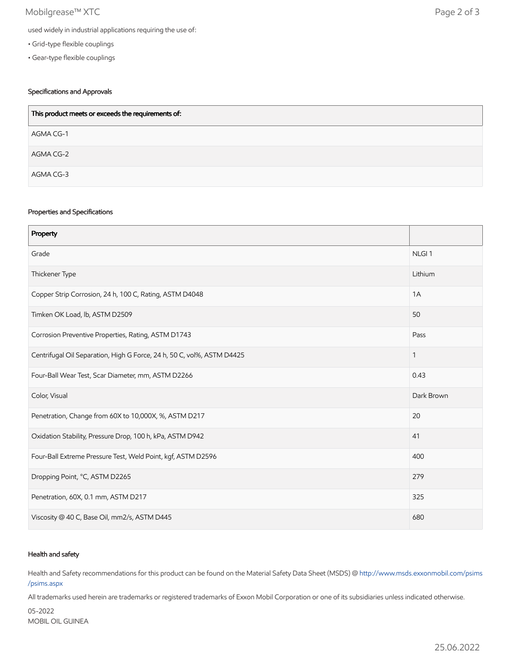## Mobilgrease™ XTC Page 2 of 3

- Grid-type flexible couplings
- Gear-type flexible couplings

## Specifications and Approvals

| This product meets or exceeds the requirements of: |
|----------------------------------------------------|
| AGMA CG-1                                          |
| AGMA CG-2                                          |
| AGMA CG-3                                          |

#### Properties and Specifications

| Property                                                               |                   |
|------------------------------------------------------------------------|-------------------|
| Grade                                                                  | NLGI <sub>1</sub> |
| Thickener Type                                                         | Lithium           |
| Copper Strip Corrosion, 24 h, 100 C, Rating, ASTM D4048                | 1A                |
| Timken OK Load, lb, ASTM D2509                                         | 50                |
| Corrosion Preventive Properties, Rating, ASTM D1743                    | Pass              |
| Centrifugal Oil Separation, High G Force, 24 h, 50 C, vol%, ASTM D4425 | 1                 |
| Four-Ball Wear Test, Scar Diameter, mm, ASTM D2266                     | 0.43              |
| Color, Visual                                                          | Dark Brown        |
| Penetration, Change from 60X to 10,000X, %, ASTM D217                  | 20                |
| Oxidation Stability, Pressure Drop, 100 h, kPa, ASTM D942              | 41                |
| Four-Ball Extreme Pressure Test, Weld Point, kgf, ASTM D2596           | 400               |
| Dropping Point, °C, ASTM D2265                                         | 279               |
| Penetration, 60X, 0.1 mm, ASTM D217                                    | 325               |
| Viscosity @ 40 C, Base Oil, mm2/s, ASTM D445                           | 680               |

#### Health and safety

Health and Safety recommendations for this product can be found on the Material Safety Data Sheet (MSDS) @ [http://www.msds.exxonmobil.com/psims](http://www.msds.exxonmobil.com/psims/psims.aspx) /psims.aspx

All trademarks used herein are trademarks or registered trademarks of Exxon Mobil Corporation or one of its subsidiaries unless indicated otherwise.

05-2022 MOBIL OIL GUINEA